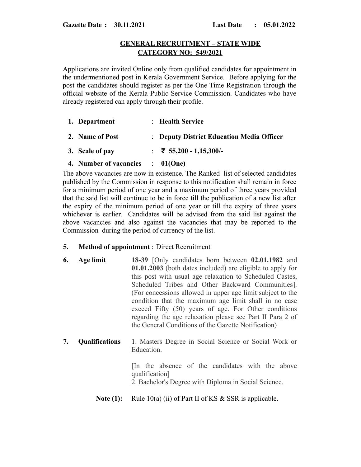## **GENERAL RECRUITMENT – STATE WIDE CATEGORY NO: 549/2021**

Applications are invited Online only from qualified candidates for appointment in the undermentioned post in Kerala Government Service. Before applying for the post the candidates should register as per the One Time Registration through the official website of the Kerala Public Service Commission. Candidates who have already registered can apply through their profile.

| 1. Department<br>2. Name of Post | : Health Service                          |
|----------------------------------|-------------------------------------------|
|                                  | : Deputy District Education Media Officer |
| 3. Scale of pay                  | ₹ 55,200 - 1,15,300/-                     |

**4. Number of vacancies** : **01(One)**

The above vacancies are now in existence. The Ranked list of selected candidates published by the Commission in response to this notification shall remain in force for a minimum period of one year and a maximum period of three years provided that the said list will continue to be in force till the publication of a new list after the expiry of the minimum period of one year or till the expiry of three years whichever is earlier. Candidates will be advised from the said list against the above vacancies and also against the vacancies that may be reported to the Commission during the period of currency of the list.

## **5. Method of appointment** : Direct Recruitment

- **6. Age limit 18-39** [Only candidates born between **02.01.1982** and **01.01.2003** (both dates included) are eligible to apply for this post with usual age relaxation to Scheduled Castes, Scheduled Tribes and Other Backward Communities]. (For concessions allowed in upper age limit subject to the condition that the maximum age limit shall in no case exceed Fifty (50) years of age. For Other conditions regarding the age relaxation please see Part II Para 2 of the General Conditions of the Gazette Notification)
- **7. Qualifications** 1. Masters Degree in Social Science or Social Work or Education.

[In the absence of the candidates with the above qualification] 2. Bachelor's Degree with Diploma in Social Science.

**Note (1):** Rule 10(a) (ii) of Part II of KS & SSR is applicable.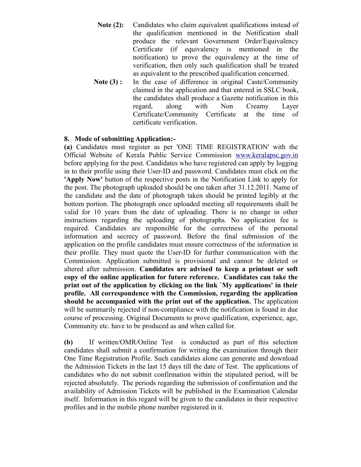- **Note (2):** Candidates who claim equivalent qualifications instead of the qualification mentioned in the Notification shall produce the relevant Government Order/Equivalency Certificate (if equivalency is mentioned in the notification) to prove the equivalency at the time of verification, then only such qualification shall be treated as equivalent to the prescribed qualification concerned.
- Note (3): In the case of difference in original Caste/Community claimed in the application and that entered in SSLC book, the candidates shall produce a Gazette notification in this regard, along with Non Creamy Layer Certificate/Community Certificate at the time of certificate verification.

## **8. Mode of submitting Application:-**

**(a)** Candidates must register as per 'ONE TIME REGISTRATION' with the Official Website of Kerala Public Service Commission [www.keralapsc.gov.in](http://www.kerealapsc.gov.in/) before applying for the post. Candidates who have registered can apply by logging in to their profile using their User-ID and password. Candidates must click on the **'Apply Now'** button of the respective posts in the Notification Link to apply for the post. The photograph uploaded should be one taken after 31.12.2011. Name of the candidate and the date of photograph taken should be printed legibly at the bottom portion. The photograph once uploaded meeting all requirements shall be valid for 10 years from the date of uploading. There is no change in other instructions regarding the uploading of photographs. No application fee is required. Candidates are responsible for the correctness of the personal information and secrecy of password. Before the final submission of the application on the profile candidates must ensure correctness of the information in their profile. They must quote the User-ID for further communication with the Commission. Application submitted is provisional and cannot be deleted or altered after submission. **Candidates are advised to keep a printout or soft copy of the online application for future reference. Candidates can take the print out of the application by clicking on the link `My applications' in their profile. All correspondence with the Commission, regarding the application should be accompanied with the print out of the application.** The application will be summarily rejected if non-compliance with the notification is found in due course of processing. Original Documents to prove qualification, experience, age, Community etc. have to be produced as and when called for.

**(b)** If written/OMR/Online Test is conducted as part of this selection candidates shall submit a confirmation for writing the examination through their One Time Registration Profile. Such candidates alone can generate and download the Admission Tickets in the last 15 days till the date of Test. The applications of candidates who do not submit confirmation within the stipulated period, will be rejected absolutely. The periods regarding the submission of confirmation and the availability of Admission Tickets will be published in the Examination Calendar itself. Information in this regard will be given to the candidates in their respective profiles and in the mobile phone number registered in it.